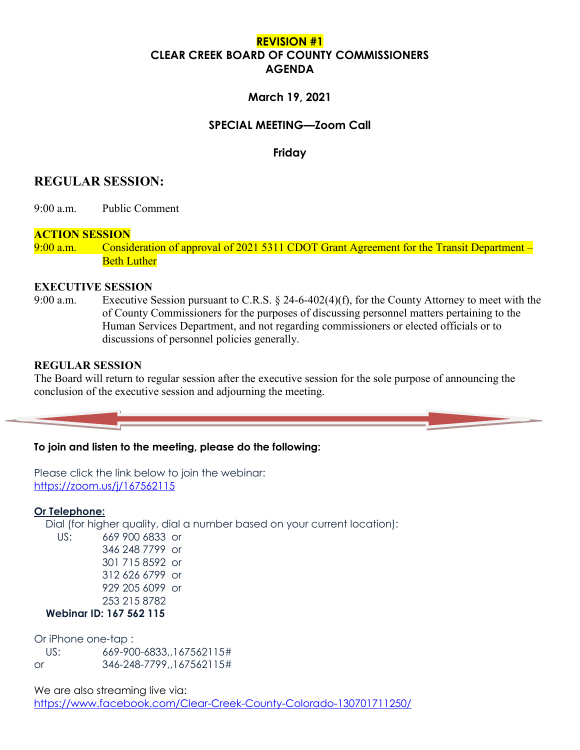# **REVISION #1 CLEAR CREEK BOARD OF COUNTY COMMISSIONERS AGENDA**

## **March 19, 2021**

## **SPECIAL MEETING—Zoom Call**

**Friday**

# **REGULAR SESSION:**

9:00 a.m. Public Comment

### **ACTION SESSION**

9:00 a.m. Consideration of approval of 2021 5311 CDOT Grant Agreement for the Transit Department – **Beth Luther** 

#### **EXECUTIVE SESSION**

9:00 a.m. Executive Session pursuant to C.R.S. § 24-6-402(4)(f), for the County Attorney to meet with the of County Commissioners for the purposes of discussing personnel matters pertaining to the Human Services Department, and not regarding commissioners or elected officials or to discussions of personnel policies generally.

### **REGULAR SESSION**

The Board will return to regular session after the executive session for the sole purpose of announcing the conclusion of the executive session and adjourning the meeting.

#### **To join and listen to the meeting, please do the following:**

Please click the link below to join the webinar: <https://zoom.us/j/167562115>

#### **Or Telephone:**

Dial (for higher quality, dial a number based on your current location):

 US: 669 900 6833 or 346 248 7799 or 301 715 8592 or 312 626 6799 or 929 205 6099 or 253 215 8782  **Webinar ID: 167 562 115**

Or iPhone one-tap :

 US: 669-900-6833,,167562115# or 346-248-7799,,167562115#

We are also streaming live via: <https://www.facebook.com/Clear-Creek-County-Colorado-130701711250/>